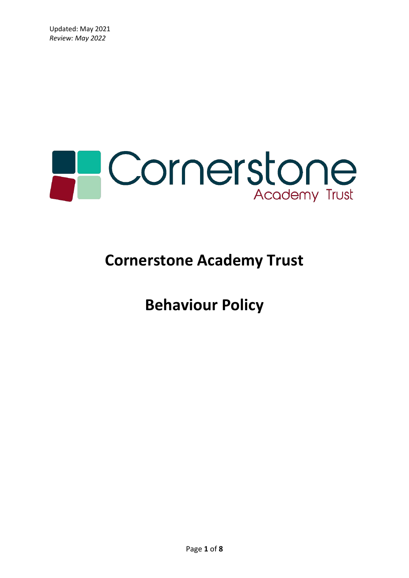

# **Cornerstone Academy Trust**

**Behaviour Policy**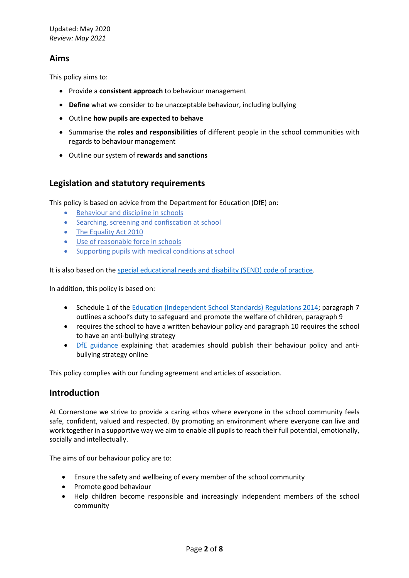# **Aims**

This policy aims to:

- Provide a **consistent approach** to behaviour management
- **Define** what we consider to be unacceptable behaviour, including bullying
- Outline **how pupils are expected to behave**
- Summarise the **roles and responsibilities** of different people in the school communities with regards to behaviour management
- Outline our system of **rewards and sanctions**

# **Legislation and statutory requirements**

This policy is based on advice from the Department for Education (DfE) on:

- [Behaviour and discipline in schools](https://www.gov.uk/government/publications/behaviour-and-discipline-in-schools)
- [Searching, screening and confiscation at school](https://www.gov.uk/government/publications/searching-screening-and-confiscation)
- [The Equality Act 2010](https://www.gov.uk/government/publications/equality-act-2010-advice-for-schools)
- [Use of reasonable force in schools](https://www.gov.uk/government/publications/use-of-reasonable-force-in-schools)
- [Supporting pupils with medical conditions at school](https://www.gov.uk/government/publications/supporting-pupils-at-school-with-medical-conditions--3)

It is also based on the [special educational needs and disability \(SEND\) code of practice.](https://www.gov.uk/government/publications/send-code-of-practice-0-to-25)

In addition, this policy is based on:

- Schedule 1 of the [Education \(Independent School Standards\) Regulations 2014;](http://www.legislation.gov.uk/uksi/2014/3283/schedule/made) paragraph 7 outlines a school's duty to safeguard and promote the welfare of children, paragraph 9
- requires the school to have a written behaviour policy and paragraph 10 requires the school to have an anti-bullying strategy
- [DfE guidance](https://www.gov.uk/guidance/what-academies-free-schools-and-colleges-should-publish-online) explaining that academies should publish their behaviour policy and antibullying strategy online

This policy complies with our funding agreement and articles of association.

# **Introduction**

At Cornerstone we strive to provide a caring ethos where everyone in the school community feels safe, confident, valued and respected. By promoting an environment where everyone can live and work together in a supportive way we aim to enable all pupils to reach their full potential, emotionally, socially and intellectually.

The aims of our behaviour policy are to:

- Ensure the safety and wellbeing of every member of the school community
- Promote good behaviour
- Help children become responsible and increasingly independent members of the school community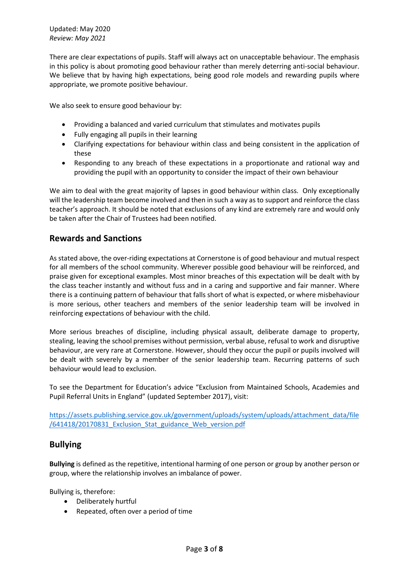Updated: May 2020 *Review: May 2021*

There are clear expectations of pupils. Staff will always act on unacceptable behaviour. The emphasis in this policy is about promoting good behaviour rather than merely deterring anti-social behaviour. We believe that by having high expectations, being good role models and rewarding pupils where appropriate, we promote positive behaviour.

We also seek to ensure good behaviour by:

- Providing a balanced and varied curriculum that stimulates and motivates pupils
- Fully engaging all pupils in their learning
- Clarifying expectations for behaviour within class and being consistent in the application of these
- Responding to any breach of these expectations in a proportionate and rational way and providing the pupil with an opportunity to consider the impact of their own behaviour

We aim to deal with the great majority of lapses in good behaviour within class. Only exceptionally will the leadership team become involved and then in such a way as to support and reinforce the class teacher's approach. It should be noted that exclusions of any kind are extremely rare and would only be taken after the Chair of Trustees had been notified.

# **Rewards and Sanctions**

As stated above, the over-riding expectations at Cornerstone is of good behaviour and mutual respect for all members of the school community. Wherever possible good behaviour will be reinforced, and praise given for exceptional examples. Most minor breaches of this expectation will be dealt with by the class teacher instantly and without fuss and in a caring and supportive and fair manner. Where there is a continuing pattern of behaviour that falls short of what is expected, or where misbehaviour is more serious, other teachers and members of the senior leadership team will be involved in reinforcing expectations of behaviour with the child.

More serious breaches of discipline, including physical assault, deliberate damage to property, stealing, leaving the school premises without permission, verbal abuse, refusal to work and disruptive behaviour, are very rare at Cornerstone. However, should they occur the pupil or pupils involved will be dealt with severely by a member of the senior leadership team. Recurring patterns of such behaviour would lead to exclusion.

To see the Department for Education's advice "Exclusion from Maintained Schools, Academies and Pupil Referral Units in England" (updated September 2017), visit:

[https://assets.publishing.service.gov.uk/government/uploads/system/uploads/attachment\\_data/file](https://assets.publishing.service.gov.uk/government/uploads/system/uploads/attachment_data/file/641418/20170831_Exclusion_Stat_guidance_Web_version.pdf) [/641418/20170831\\_Exclusion\\_Stat\\_guidance\\_Web\\_version.pdf](https://assets.publishing.service.gov.uk/government/uploads/system/uploads/attachment_data/file/641418/20170831_Exclusion_Stat_guidance_Web_version.pdf)

# **Bullying**

**Bullying** is defined as the repetitive, intentional harming of one person or group by another person or group, where the relationship involves an imbalance of power.

Bullying is, therefore:

- Deliberately hurtful
- Repeated, often over a period of time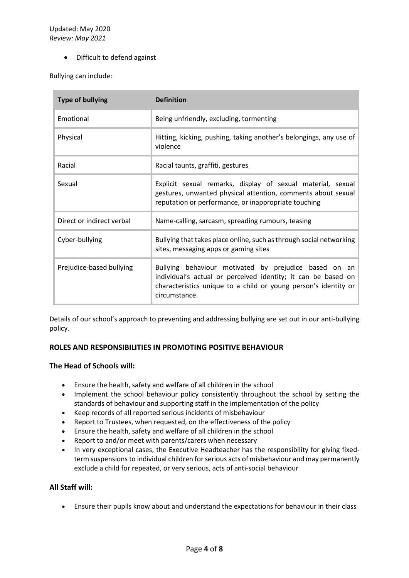• Difficult to defend against

Bullying can include:

| <b>Type of bullying</b>   | <b>Definition</b>                                                                                                                                                                                          |
|---------------------------|------------------------------------------------------------------------------------------------------------------------------------------------------------------------------------------------------------|
| Emotional                 | Being unfriendly, excluding, tormenting                                                                                                                                                                    |
| Physical                  | Hitting, kicking, pushing, taking another's belongings, any use of<br>violence                                                                                                                             |
| Racial                    | Racial taunts, graffiti, gestures                                                                                                                                                                          |
| Sexual                    | Explicit sexual remarks, display of sexual material, sexual<br>gestures, unwanted physical attention, comments about sexual<br>reputation or performance, or inappropriate touching                        |
| Direct or indirect verbal | Name-calling, sarcasm, spreading rumours, teasing                                                                                                                                                          |
| Cyber-bullying            | Bullying that takes place online, such as through social networking<br>sites, messaging apps or gaming sites                                                                                               |
| Prejudice-based bullying  | Bullying behaviour motivated by prejudice based on an<br>individual's actual or perceived identity; it can be based on<br>characteristics unique to a child or young person's identity or<br>circumstance. |

Details of our school's approach to preventing and addressing bullying are set out in our anti-bullying policy.

# **ROLES AND RESPONSIBILITIES IN PROMOTING POSITIVE BEHAVIOUR**

#### **The Head of Schools will:**

- Ensure the health, safety and welfare of all children in the school
- Implement the school behaviour policy consistently throughout the school by setting the standards of behaviour and supporting staff in the implementation of the policy
- Keep records of all reported serious incidents of misbehaviour
- Report to Trustees, when requested, on the effectiveness of the policy
- Ensure the health, safety and welfare of all children in the school
- Report to and/or meet with parents/carers when necessary
- In very exceptional cases, the Executive Headteacher has the responsibility for giving fixedterm suspensions to individual children for serious acts of misbehaviour and may permanently exclude a child for repeated, or very serious, acts of anti-social behaviour

#### **All Staff will:**

• Ensure their pupils know about and understand the expectations for behaviour in their class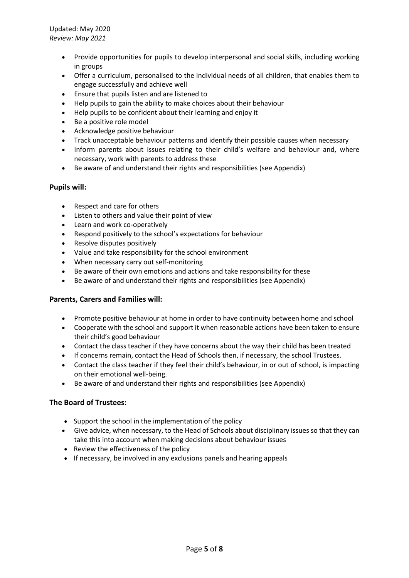Updated: May 2020 *Review: May 2021*

- Provide opportunities for pupils to develop interpersonal and social skills, including working in groups
- Offer a curriculum, personalised to the individual needs of all children, that enables them to engage successfully and achieve well
- Ensure that pupils listen and are listened to
- Help pupils to gain the ability to make choices about their behaviour
- Help pupils to be confident about their learning and enjoy it
- Be a positive role model
- Acknowledge positive behaviour
- Track unacceptable behaviour patterns and identify their possible causes when necessary
- Inform parents about issues relating to their child's welfare and behaviour and, where necessary, work with parents to address these
- Be aware of and understand their rights and responsibilities (see Appendix)

#### **Pupils will:**

- Respect and care for others
- Listen to others and value their point of view
- Learn and work co-operatively
- Respond positively to the school's expectations for behaviour
- Resolve disputes positively
- Value and take responsibility for the school environment
- When necessary carry out self-monitoring
- Be aware of their own emotions and actions and take responsibility for these
- Be aware of and understand their rights and responsibilities (see Appendix)

#### **Parents, Carers and Families will:**

- Promote positive behaviour at home in order to have continuity between home and school
- Cooperate with the school and support it when reasonable actions have been taken to ensure their child's good behaviour
- Contact the class teacher if they have concerns about the way their child has been treated
- If concerns remain, contact the Head of Schools then, if necessary, the school Trustees.
- Contact the class teacher if they feel their child's behaviour, in or out of school, is impacting on their emotional well-being.
- Be aware of and understand their rights and responsibilities (see Appendix)

#### **The Board of Trustees:**

- Support the school in the implementation of the policy
- Give advice, when necessary, to the Head of Schools about disciplinary issues so that they can take this into account when making decisions about behaviour issues
- Review the effectiveness of the policy
- If necessary, be involved in any exclusions panels and hearing appeals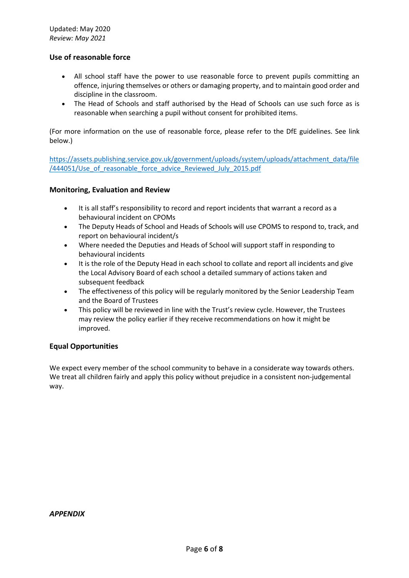#### **Use of reasonable force**

- All school staff have the power to use reasonable force to prevent pupils committing an offence, injuring themselves or others or damaging property, and to maintain good order and discipline in the classroom.
- The Head of Schools and staff authorised by the Head of Schools can use such force as is reasonable when searching a pupil without consent for prohibited items.

(For more information on the use of reasonable force, please refer to the DfE guidelines. See link below.)

[https://assets.publishing.service.gov.uk/government/uploads/system/uploads/attachment\\_data/file](https://assets.publishing.service.gov.uk/government/uploads/system/uploads/attachment_data/file/444051/Use_of_reasonable_force_advice_Reviewed_July_2015.pdf) [/444051/Use\\_of\\_reasonable\\_force\\_advice\\_Reviewed\\_July\\_2015.pdf](https://assets.publishing.service.gov.uk/government/uploads/system/uploads/attachment_data/file/444051/Use_of_reasonable_force_advice_Reviewed_July_2015.pdf)

#### **Monitoring, Evaluation and Review**

- It is all staff's responsibility to record and report incidents that warrant a record as a behavioural incident on CPOMs
- The Deputy Heads of School and Heads of Schools will use CPOMS to respond to, track, and report on behavioural incident/s
- Where needed the Deputies and Heads of School will support staff in responding to behavioural incidents
- It is the role of the Deputy Head in each school to collate and report all incidents and give the Local Advisory Board of each school a detailed summary of actions taken and subsequent feedback
- The effectiveness of this policy will be regularly monitored by the Senior Leadership Team and the Board of Trustees
- This policy will be reviewed in line with the Trust's review cycle. However, the Trustees may review the policy earlier if they receive recommendations on how it might be improved.

#### **Equal Opportunities**

We expect every member of the school community to behave in a considerate way towards others. We treat all children fairly and apply this policy without prejudice in a consistent non-judgemental way.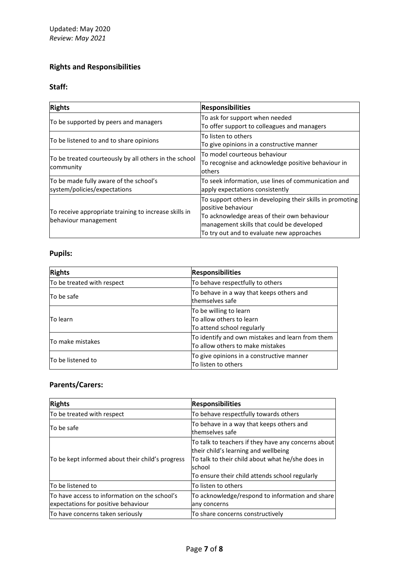# **Rights and Responsibilities**

# **Staff:**

| <b>Rights</b>                                                                 | <b>Responsibilities</b>                                                                                                                                                                                                  |
|-------------------------------------------------------------------------------|--------------------------------------------------------------------------------------------------------------------------------------------------------------------------------------------------------------------------|
| To be supported by peers and managers                                         | To ask for support when needed<br>To offer support to colleagues and managers                                                                                                                                            |
| To be listened to and to share opinions                                       | To listen to others<br>To give opinions in a constructive manner                                                                                                                                                         |
| To be treated courteously by all others in the school<br>community            | To model courteous behaviour<br>To recognise and acknowledge positive behaviour in<br><b>lothers</b>                                                                                                                     |
| To be made fully aware of the school's<br>system/policies/expectations        | To seek information, use lines of communication and<br>apply expectations consistently                                                                                                                                   |
| To receive appropriate training to increase skills in<br>behaviour management | To support others in developing their skills in promoting<br>positive behaviour<br>To acknowledge areas of their own behaviour<br>management skills that could be developed<br>To try out and to evaluate new approaches |

# **Pupils:**

| <b>Rights</b>              | <b>Responsibilities</b>                                                              |
|----------------------------|--------------------------------------------------------------------------------------|
| To be treated with respect | To behave respectfully to others                                                     |
| To be safe                 | To behave in a way that keeps others and<br>themselves safe                          |
| <b>To learn</b>            | To be willing to learn<br>To allow others to learn<br>To attend school regularly     |
| To make mistakes           | To identify and own mistakes and learn from them<br>To allow others to make mistakes |
| To be listened to          | To give opinions in a constructive manner<br>To listen to others                     |

# **Parents/Carers:**

| <b>Rights</b>                                                                        | <b>Responsibilities</b>                                                                                                                                                                                     |
|--------------------------------------------------------------------------------------|-------------------------------------------------------------------------------------------------------------------------------------------------------------------------------------------------------------|
| To be treated with respect                                                           | To behave respectfully towards others                                                                                                                                                                       |
| To be safe                                                                           | To behave in a way that keeps others and<br>themselves safe                                                                                                                                                 |
| To be kept informed about their child's progress                                     | To talk to teachers if they have any concerns about<br>their child's learning and wellbeing<br>To talk to their child about what he/she does in<br>school<br>To ensure their child attends school regularly |
| To be listened to                                                                    | To listen to others                                                                                                                                                                                         |
| To have access to information on the school's<br>expectations for positive behaviour | To acknowledge/respond to information and share<br>any concerns                                                                                                                                             |
| To have concerns taken seriously                                                     | To share concerns constructively                                                                                                                                                                            |